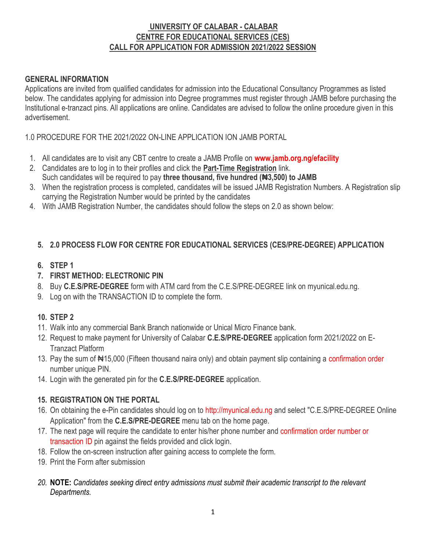# **UNIVERSITY OF CALABAR - CALABAR CENTRE FOR EDUCATIONAL SERVICES (CES) CALL FOR APPLICATION FOR ADMISSION 2021/2022 SESSION**

## **GENERAL INFORMATION**

Applications are invited from qualified candidates for admission into the Educational Consultancy Programmes as listed below. The candidates applying for admission into Degree programmes must register through JAMB before purchasing the Institutional e-tranzact pins. All applications are online. Candidates are advised to follow the online procedure given in this advertisement.

1.0 PROCEDURE FOR THE 2021/2022 ON-LINE APPLICATION ION JAMB PORTAL

- 1. All candidates are to visit any CBT centre to create a JAMB Profile on **[www.jamb.org.ng/efacility](http://www.jamb.org.ng/efacility)**
- 2. Candidates are to log in to their profiles and click the **Part-Time Registration** link. Such candidates will be required to pay **three thousand, five hundred (₦3,500) to JAMB**
- 3. When the registration process is completed, candidates will be issued JAMB Registration Numbers. A Registration slip carrying the Registration Number would be printed by the candidates
- 4. With JAMB Registration Number, the candidates should follow the steps on 2.0 as shown below:

## **5. 2.0 PROCESS FLOW FOR CENTRE FOR EDUCATIONAL SERVICES (CES/PRE-DEGREE) APPLICATION**

### **6. STEP 1**

- **7. FIRST METHOD: ELECTRONIC PIN**
- 8. Buy **C.E.S/PRE-DEGREE** form with ATM card from the C.E.S/PRE-DEGREE link on myunical.edu.ng.
- 9. Log on with the TRANSACTION ID to complete the form.

## **10. STEP 2**

- 11. Walk into any commercial Bank Branch nationwide or Unical Micro Finance bank.
- 12. Request to make payment for University of Calabar **C.E.S/PRE-DEGREE** application form 2021/2022 on E-Tranzact Platform
- 13. Pay the sum of  $\blacktriangle 15,000$  (Fifteen thousand naira only) and obtain payment slip containing a confirmation order number unique PIN.
- 14. Login with the generated pin for the **C.E.S/PRE-DEGREE** application.

## **15. REGISTRATION ON THE PORTAL**

- 16. On obtaining the e-Pin candidates should log on to http://myunical.edu.ng and select "C.E.S/PRE-DEGREE Online Application" from the **C.E.S/PRE-DEGREE** menu tab on the home page.
- 17. The next page will require the candidate to enter his/her phone number and confirmation order number or transaction ID pin against the fields provided and click login.
- 18. Follow the on-screen instruction after gaining access to complete the form.
- 19. Print the Form after submission
- *20.* **NOTE:** *Candidates seeking direct entry admissions must submit their academic transcript to the relevant Departments.*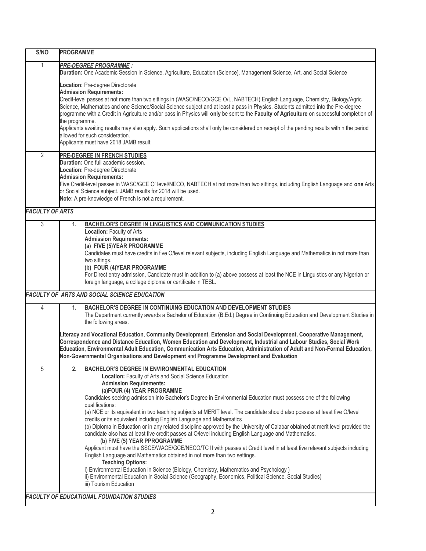| S/NO                   | <b>PROGRAMME</b>                                                                                                                                                                                                                                                  |
|------------------------|-------------------------------------------------------------------------------------------------------------------------------------------------------------------------------------------------------------------------------------------------------------------|
| $\mathbf{1}$           | <b>PRE-DEGREE PROGRAMME :</b>                                                                                                                                                                                                                                     |
|                        | Duration: One Academic Session in Science, Agriculture, Education (Science), Management Science, Art, and Social Science                                                                                                                                          |
|                        | Location: Pre-degree Directorate                                                                                                                                                                                                                                  |
|                        | <b>Admission Requirements:</b>                                                                                                                                                                                                                                    |
|                        | Credit-level passes at not more than two sittings in (WASC/NECO/GCE O/L, NABTECH) English Language, Chemistry, Biology/Agric<br>Science, Mathematics and one Science/Social Science subject and at least a pass in Physics. Students admitted into the Pre-degree |
|                        | programme with a Credit in Agriculture and/or pass in Physics will only be sent to the Faculty of Agriculture on successful completion of<br>the programme.                                                                                                       |
|                        | Applicants awaiting results may also apply. Such applications shall only be considered on receipt of the pending results within the period<br>allowed for such consideration.<br>Applicants must have 2018 JAMB result.                                           |
| $\overline{2}$         | PRE-DEGREE IN FRENCH STUDIES                                                                                                                                                                                                                                      |
|                        | <b>Duration:</b> One full academic session.                                                                                                                                                                                                                       |
|                        | Location: Pre-degree Directorate                                                                                                                                                                                                                                  |
|                        | <b>Admission Requirements:</b>                                                                                                                                                                                                                                    |
|                        | Five Credit-level passes in WASC/GCE O' level/NECO, NABTECH at not more than two sittings, including English Language and one Arts                                                                                                                                |
|                        | or Social Science subject. JAMB results for 2018 will be used.                                                                                                                                                                                                    |
|                        | Note: A pre-knowledge of French is not a requirement.                                                                                                                                                                                                             |
| <b>FACULTY OF ARTS</b> |                                                                                                                                                                                                                                                                   |
| 3                      | <b>BACHELOR'S DEGREE IN LINGUISTICS AND COMMUNICATION STUDIES</b><br>1.                                                                                                                                                                                           |
|                        | Location: Faculty of Arts                                                                                                                                                                                                                                         |
|                        | <b>Admission Requirements:</b>                                                                                                                                                                                                                                    |
|                        | (a) FIVE (5) YEAR PROGRAMME                                                                                                                                                                                                                                       |
|                        | Candidates must have credits in five O/level relevant subjects, including English Language and Mathematics in not more than                                                                                                                                       |
|                        | two sittings.                                                                                                                                                                                                                                                     |
|                        | (b) FOUR (4) YEAR PROGRAMME                                                                                                                                                                                                                                       |
|                        | For Direct entry admission, Candidate must in addition to (a) above possess at least the NCE in Linguistics or any Nigerian or<br>foreign language, a college diploma or certificate in TESL.                                                                     |
|                        | FACULTY OF ARTS AND SOCIAL SCIENCE EDUCATION                                                                                                                                                                                                                      |
|                        |                                                                                                                                                                                                                                                                   |
| 4                      | BACHELOR'S DEGREE IN CONTINUING EDUCATION AND DEVELOPMENT STUDIES<br>1.                                                                                                                                                                                           |
|                        | The Department currently awards a Bachelor of Education (B.Ed.) Degree in Continuing Education and Development Studies in<br>the following areas.                                                                                                                 |
|                        | Literacy and Vocational Education, Community Development, Extension and Social Development, Cooperative Management,                                                                                                                                               |
|                        | Correspondence and Distance Education, Women Education and Development, Industrial and Labour Studies, Social Work                                                                                                                                                |
|                        | Education, Environmental Adult Education, Communication Arts Education, Administration of Adult and Non-Formal Education,                                                                                                                                         |
|                        | Non-Governmental Organisations and Development and Programme Development and Evaluation                                                                                                                                                                           |
| 5                      | <b>BACHELOR'S DEGREE IN ENVIRONMENTAL EDUCATION</b><br>2.                                                                                                                                                                                                         |
|                        | Location: Faculty of Arts and Social Science Education<br><b>Admission Requirements:</b>                                                                                                                                                                          |
|                        | (a)FOUR (4) YEAR PROGRAMME                                                                                                                                                                                                                                        |
|                        | Candidates seeking admission into Bachelor's Degree in Environmental Education must possess one of the following                                                                                                                                                  |
|                        | qualifications:                                                                                                                                                                                                                                                   |
|                        | (a) NCE or its equivalent in two teaching subjects at MERIT level. The candidate should also possess at least five O/level                                                                                                                                        |
|                        | credits or its equivalent including English Language and Mathematics                                                                                                                                                                                              |
|                        | (b) Diploma in Education or in any related discipline approved by the University of Calabar obtained at merit level provided the                                                                                                                                  |
|                        | candidate also has at least five credit passes at O/level including English Language and Mathematics.                                                                                                                                                             |
|                        | (b) FIVE (5) YEAR PPROGRAMME                                                                                                                                                                                                                                      |
|                        | Applicant must have the SSCE/WACE/GCE/NECO/TC II with passes at Credit level in at least five relevant subjects including                                                                                                                                         |
|                        | English Language and Mathematics obtained in not more than two settings.                                                                                                                                                                                          |
|                        | <b>Teaching Options:</b>                                                                                                                                                                                                                                          |
|                        | i) Environmental Education in Science (Biology, Chemistry, Mathematics and Psychology)                                                                                                                                                                            |
|                        | ii) Environmental Education in Social Science (Geography, Economics, Political Science, Social Studies)                                                                                                                                                           |
|                        | iii) Tourism Education                                                                                                                                                                                                                                            |
|                        | <b>FACULTY OF EDUCATIONAL FOUNDATION STUDIES</b>                                                                                                                                                                                                                  |
|                        |                                                                                                                                                                                                                                                                   |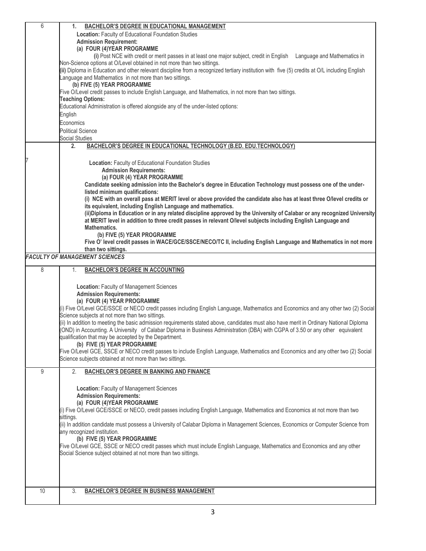| 6  | <b>BACHELOR'S DEGREE IN EDUCATIONAL MANAGEMENT</b><br>1.                                                                                                                                                                                  |
|----|-------------------------------------------------------------------------------------------------------------------------------------------------------------------------------------------------------------------------------------------|
|    | Location: Faculty of Educational Foundation Studies                                                                                                                                                                                       |
|    | <b>Admission Requirement:</b>                                                                                                                                                                                                             |
|    | (a) FOUR (4) YEAR PROGRAMME                                                                                                                                                                                                               |
|    | (i) Post NCE with credit or merit passes in at least one major subject, credit in English Language and Mathematics in<br>Non-Science options at O/Level obtained in not more than two sittings.                                           |
|    | (ii) Diploma in Education and other relevant discipline from a recognized tertiary institution with five (5) credits at O/L including English                                                                                             |
|    | anguage and Mathematics in not more than two sittings.                                                                                                                                                                                    |
|    | (b) FIVE (5) YEAR PROGRAMME                                                                                                                                                                                                               |
|    | Five O/Level credit passes to include English Language, and Mathematics, in not more than two sittings.                                                                                                                                   |
|    | <b>Teaching Options:</b>                                                                                                                                                                                                                  |
|    | Educational Administration is offered alongside any of the under-listed options:                                                                                                                                                          |
|    | English                                                                                                                                                                                                                                   |
|    | Economics                                                                                                                                                                                                                                 |
|    | <b>Political Science</b><br><b>Social Studies</b>                                                                                                                                                                                         |
|    | BACHELOR'S DEGREE IN EDUCATIONAL TECHNOLOGY (B.ED. EDU.TECHNOLOGY)<br>2.                                                                                                                                                                  |
|    |                                                                                                                                                                                                                                           |
|    | Location: Faculty of Educational Foundation Studies                                                                                                                                                                                       |
|    | <b>Admission Requirements:</b>                                                                                                                                                                                                            |
|    | (a) FOUR (4) YEAR PROGRAMME                                                                                                                                                                                                               |
|    | Candidate seeking admission into the Bachelor's degree in Education Technology must possess one of the under-                                                                                                                             |
|    | listed minimum qualifications:                                                                                                                                                                                                            |
|    | (i) NCE with an overall pass at MERIT level or above provided the candidate also has at least three O/level credits or                                                                                                                    |
|    | its equivalent, including English Language and mathematics.                                                                                                                                                                               |
|    | (ii)Diploma in Education or in any related discipline approved by the University of Calabar or any recognized University<br>at MERIT level in addition to three credit passes in relevant O/level subjects including English Language and |
|    | <b>Mathematics.</b>                                                                                                                                                                                                                       |
|    | (b) FIVE (5) YEAR PROGRAMME                                                                                                                                                                                                               |
|    | Five O' level credit passes in WACE/GCE/SSCE/NECO/TC II, including English Language and Mathematics in not more                                                                                                                           |
|    | than two sittings.                                                                                                                                                                                                                        |
|    | <b>FACULTY OF MANAGEMENT SCIENCES</b>                                                                                                                                                                                                     |
|    |                                                                                                                                                                                                                                           |
| 8  | 1.                                                                                                                                                                                                                                        |
|    | <b>BACHELOR'S DEGREE IN ACCOUNTING</b>                                                                                                                                                                                                    |
|    |                                                                                                                                                                                                                                           |
|    | Location: Faculty of Management Sciences<br><b>Admission Requirements:</b>                                                                                                                                                                |
|    | (a) FOUR (4) YEAR PROGRAMME                                                                                                                                                                                                               |
|    | (i) Five O/Level GCE/SSCE or NECO credit passes including English Language, Mathematics and Economics and any other two (2) Social                                                                                                        |
|    | Science subjects at not more than two sittings.                                                                                                                                                                                           |
|    | (ii) In addition to meeting the basic admission requirements stated above, candidates must also have merit in Ordinary National Diploma                                                                                                   |
|    | (OND) in Accounting. A University of Calabar Diploma in Business Administration (DBA) with CGPA of 3.50 or any other equivalent                                                                                                           |
|    | qualification that may be accepted by the Department.<br>(b) FIVE (5) YEAR PROGRAMME                                                                                                                                                      |
|    | Five O/Level GCE, SSCE or NECO credit passes to include English Language, Mathematics and Economics and any other two (2) Social                                                                                                          |
|    | Science subjects obtained at not more than two sittings.                                                                                                                                                                                  |
| 9  |                                                                                                                                                                                                                                           |
|    | 2.<br><b>BACHELOR'S DEGREE IN BANKING AND FINANCE</b>                                                                                                                                                                                     |
|    |                                                                                                                                                                                                                                           |
|    | Location: Faculty of Management Sciences<br><b>Admission Requirements:</b>                                                                                                                                                                |
|    | (a) FOUR (4) YEAR PROGRAMME                                                                                                                                                                                                               |
|    | (i) Five O/Level GCE/SSCE or NECO, credit passes including English Language, Mathematics and Economics at not more than two                                                                                                               |
|    | sittings.                                                                                                                                                                                                                                 |
|    | (ii) In addition candidate must possess a University of Calabar Diploma in Management Sciences, Economics or Computer Science from                                                                                                        |
|    | any recognized institution.                                                                                                                                                                                                               |
|    | (b) FIVE (5) YEAR PROGRAMME                                                                                                                                                                                                               |
|    | Five O/Level GCE, SSCE or NECO credit passes which must include English Language, Mathematics and Economics and any other<br>Social Science subject obtained at not more than two sittings.                                               |
|    |                                                                                                                                                                                                                                           |
|    |                                                                                                                                                                                                                                           |
|    |                                                                                                                                                                                                                                           |
| 10 | 3.<br><b>BACHELOR'S DEGREE IN BUSINESS MANAGEMENT</b>                                                                                                                                                                                     |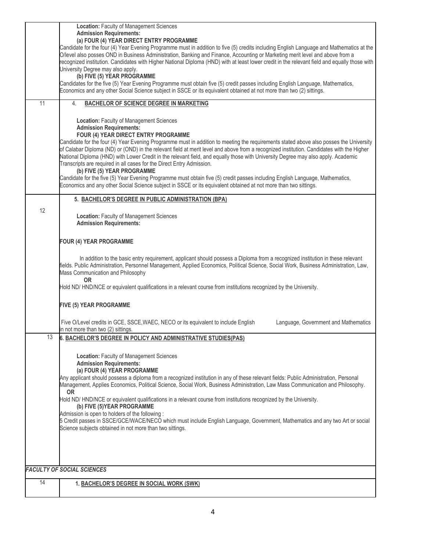|    | Location: Faculty of Management Sciences                                                                                                                                                                                                                                       |
|----|--------------------------------------------------------------------------------------------------------------------------------------------------------------------------------------------------------------------------------------------------------------------------------|
|    | <b>Admission Requirements:</b>                                                                                                                                                                                                                                                 |
|    | (a) FOUR (4) YEAR DIRECT ENTRY PROGRAMME<br>Candidate for the four (4) Year Evening Programme must in addition to five (5) credits including English Language and Mathematics at the                                                                                           |
|    | O/level also posses OND in Business Administration, Banking and Finance, Accounting or Marketing merit level and above from a                                                                                                                                                  |
|    | recognized institution. Candidates with Higher National Diploma (HND) with at least lower credit in the relevant field and equally those with                                                                                                                                  |
|    | University Degree may also apply.                                                                                                                                                                                                                                              |
|    | (b) FIVE (5) YEAR PROGRAMME                                                                                                                                                                                                                                                    |
|    | Candidates for the five (5) Year Evening Programme must obtain five (5) credit passes including English Language, Mathematics,                                                                                                                                                 |
|    | Economics and any other Social Science subject in SSCE or its equivalent obtained at not more than two (2) sittings.                                                                                                                                                           |
| 11 | <b>BACHELOR OF SCIENCE DEGREE IN MARKETING</b><br>4.                                                                                                                                                                                                                           |
|    |                                                                                                                                                                                                                                                                                |
|    | Location: Faculty of Management Sciences                                                                                                                                                                                                                                       |
|    | <b>Admission Requirements:</b>                                                                                                                                                                                                                                                 |
|    | FOUR (4) YEAR DIRECT ENTRY PROGRAMME                                                                                                                                                                                                                                           |
|    | Candidate for the four (4) Year Evening Programme must in addition to meeting the requirements stated above also posses the University                                                                                                                                         |
|    | of Calabar Diploma (ND) or (OND) in the relevant field at merit level and above from a recognized institution. Candidates with the Higher<br>National Diploma (HND) with Lower Credit in the relevant field, and equally those with University Degree may also apply. Academic |
|    | Transcripts are required in all cases for the Direct Entry Admission.                                                                                                                                                                                                          |
|    | (b) FIVE (5) YEAR PROGRAMME                                                                                                                                                                                                                                                    |
|    | Candidate for the five (5) Year Evening Programme must obtain five (5) credit passes including English Language, Mathematics,                                                                                                                                                  |
|    | Economics and any other Social Science subject in SSCE or its equivalent obtained at not more than two sittings.                                                                                                                                                               |
|    |                                                                                                                                                                                                                                                                                |
|    | 5. BACHELOR'S DEGREE IN PUBLIC ADMINISTRATION (BPA)                                                                                                                                                                                                                            |
| 12 |                                                                                                                                                                                                                                                                                |
|    | Location: Faculty of Management Sciences<br><b>Admission Requirements:</b>                                                                                                                                                                                                     |
|    |                                                                                                                                                                                                                                                                                |
|    |                                                                                                                                                                                                                                                                                |
|    | FOUR (4) YEAR PROGRAMME                                                                                                                                                                                                                                                        |
|    |                                                                                                                                                                                                                                                                                |
|    | In addition to the basic entry requirement, applicant should possess a Diploma from a recognized institution in these relevant                                                                                                                                                 |
|    | frields. Public Administration, Personnel Management, Applied Economics, Political Science, Social Work, Business Administration, Law,<br>Mass Communication and Philosophy                                                                                                    |
|    | 0R                                                                                                                                                                                                                                                                             |
|    | Hold ND/HND/NCE or equivalent qualifications in a relevant course from institutions recognized by the University.                                                                                                                                                              |
|    |                                                                                                                                                                                                                                                                                |
|    | <b>FIVE (5) YEAR PROGRAMME</b>                                                                                                                                                                                                                                                 |
|    |                                                                                                                                                                                                                                                                                |
|    | Five O/Level credits in GCE, SSCE, WAEC, NECO or its equivalent to include English<br>Language, Government and Mathematics                                                                                                                                                     |
|    | in not more than two (2) sittings.                                                                                                                                                                                                                                             |
| 13 | 6. BACHELOR'S DEGREE IN POLICY AND ADMINISTRATIVE STUDIES(PAS)                                                                                                                                                                                                                 |
|    |                                                                                                                                                                                                                                                                                |
|    | Location: Faculty of Management Sciences                                                                                                                                                                                                                                       |
|    | <b>Admission Requirements:</b>                                                                                                                                                                                                                                                 |
|    | (a) FOUR (4) YEAR PROGRAMME                                                                                                                                                                                                                                                    |
|    | Any applicant should possess a diploma from a recognized institution in any of these relevant fields: Public Administration, Personal                                                                                                                                          |
|    | Management, Applies Economics, Political Science, Social Work, Business Administration, Law Mass Communication and Philosophy.                                                                                                                                                 |
|    | <b>OR</b><br>Hold ND/HND/NCE or equivalent qualifications in a relevant course from institutions recognized by the University.                                                                                                                                                 |
|    | (b) FIVE (5) YEAR PROGRAMME                                                                                                                                                                                                                                                    |
|    | Admission is open to holders of the following:                                                                                                                                                                                                                                 |
|    | 5 Credit passes in SSCE/GCE/WACE/NECO which must include English Language, Government, Mathematics and any two Art or social                                                                                                                                                   |
|    | Science subjects obtained in not more than two sittings.                                                                                                                                                                                                                       |
|    |                                                                                                                                                                                                                                                                                |
|    |                                                                                                                                                                                                                                                                                |
|    |                                                                                                                                                                                                                                                                                |
|    |                                                                                                                                                                                                                                                                                |
|    | <b>FACULTY OF SOCIAL SCIENCES</b>                                                                                                                                                                                                                                              |
| 14 | 1. BACHELOR'S DEGREE IN SOCIAL WORK (SWK)                                                                                                                                                                                                                                      |
|    |                                                                                                                                                                                                                                                                                |
|    |                                                                                                                                                                                                                                                                                |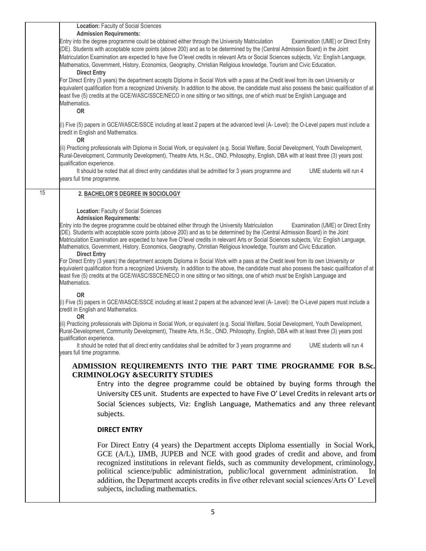|    | Location: Faculty of Social Sciences                                                                                                                                                                                                                                                                                                                                                                                                                                                                                                                                                            |
|----|-------------------------------------------------------------------------------------------------------------------------------------------------------------------------------------------------------------------------------------------------------------------------------------------------------------------------------------------------------------------------------------------------------------------------------------------------------------------------------------------------------------------------------------------------------------------------------------------------|
|    | <b>Admission Requirements:</b>                                                                                                                                                                                                                                                                                                                                                                                                                                                                                                                                                                  |
|    | Entry into the degree programme could be obtained either through the University Matriculation<br>Examination (UME) or Direct Entry<br>(DE). Students with acceptable score points (above 200) and as to be determined by the (Central Admission Board) in the Joint<br>Matriculation Examination are expected to have five O'level credits in relevant Arts or Social Sciences subjects, Viz: English Language,<br>Mathematics, Government, History, Economics, Geography, Christian Religious knowledge, Tourism and Civic Education.<br><b>Direct Entry</b>                                   |
|    | For Direct Entry (3 years) the department accepts Diploma in Social Work with a pass at the Credit level from its own University or<br>equivalent qualification from a recognized University. In addition to the above, the candidate must also possess the basic qualification of at<br>least five (5) credits at the GCE/WASC/SSCE/NECO in one sitting or two sittings, one of which must be English Language and<br>Mathematics.<br>OR                                                                                                                                                       |
|    | (i) Five (5) papers in GCE/WASCE/SSCE including at least 2 papers at the advanced level (A-Level): the O-Level papers must include a<br>credit in English and Mathematics.<br><b>OR</b>                                                                                                                                                                                                                                                                                                                                                                                                         |
|    | (ii) Practicing professionals with Diploma in Social Work, or equivalent (e.g. Social Welfare, Social Development, Youth Development,<br>Rural-Development, Community Development), Theatre Arts, H.Sc., OND, Philosophy, English, DBA with at least three (3) years post<br>qualification experience.                                                                                                                                                                                                                                                                                          |
|    | It should be noted that all direct entry candidates shall be admitted for 3 years programme and<br>UME students will run 4<br>years full time programme.                                                                                                                                                                                                                                                                                                                                                                                                                                        |
| 15 | 2. BACHELOR'S DEGREE IN SOCIOLOGY                                                                                                                                                                                                                                                                                                                                                                                                                                                                                                                                                               |
|    | Location: Faculty of Social Sciences                                                                                                                                                                                                                                                                                                                                                                                                                                                                                                                                                            |
|    | <b>Admission Requirements:</b><br>Entry into the degree programme could be obtained either through the University Matriculation<br>Examination (UME) or Direct Entry<br>(DE). Students with acceptable score points (above 200) and as to be determined by the (Central Admission Board) in the Joint<br>Matriculation Examination are expected to have five O'level credits in relevant Arts or Social Sciences subjects, Viz: English Language,<br>Mathematics, Government, History, Economics, Geography, Christian Religious knowledge, Tourism and Civic Education.<br><b>Direct Entry</b> |
|    | For Direct Entry (3 years) the department accepts Diploma in Social Work with a pass at the Credit level from its own University or<br>equivalent qualification from a recognized University. In addition to the above, the candidate must also possess the basic qualification of at<br>least five (5) credits at the GCE/WASC/SSCE/NECO in one sitting or two sittings, one of which must be English Language and<br>Mathematics.                                                                                                                                                             |
|    | <b>OR</b><br>(i) Five (5) papers in GCE/WASCE/SSCE including at least 2 papers at the advanced level (A-Level): the O-Level papers must include a<br>credit in English and Mathematics.<br>0R                                                                                                                                                                                                                                                                                                                                                                                                   |
|    | (ii) Practicing professionals with Diploma in Social Work, or equivalent (e.g. Social Welfare, Social Development, Youth Development,<br>Rural-Development, Community Development), Theatre Arts, H.Sc., OND, Philosophy, English, DBA with at least three (3) years post<br>qualification experience.                                                                                                                                                                                                                                                                                          |
|    | It should be noted that all direct entry candidates shall be admitted for 3 years programme and<br>UME students will run 4<br>years full time programme.                                                                                                                                                                                                                                                                                                                                                                                                                                        |
|    | ADMISSION REQUIREMENTS INTO THE PART TIME PROGRAMME FOR B.Sc.<br><b>CRIMINOLOGY &amp;SECURITY STUDIES</b>                                                                                                                                                                                                                                                                                                                                                                                                                                                                                       |
|    | Entry into the degree programme could be obtained by buying forms through the                                                                                                                                                                                                                                                                                                                                                                                                                                                                                                                   |
|    | University CES unit. Students are expected to have Five O' Level Credits in relevant arts or                                                                                                                                                                                                                                                                                                                                                                                                                                                                                                    |
|    | Social Sciences subjects, Viz: English Language, Mathematics and any three relevant<br>subjects.                                                                                                                                                                                                                                                                                                                                                                                                                                                                                                |
|    | <b>DIRECT ENTRY</b>                                                                                                                                                                                                                                                                                                                                                                                                                                                                                                                                                                             |
|    | For Direct Entry (4 years) the Department accepts Diploma essentially in Social Work,<br>GCE (A/L), IJMB, JUPEB and NCE with good grades of credit and above, and from<br>recognized institutions in relevant fields, such as community development, criminology,<br>political science/public administration, public/local government administration.<br>- In<br>addition, the Department accepts credits in five other relevant social sciences/Arts O' Level<br>subjects, including mathematics.                                                                                              |
|    |                                                                                                                                                                                                                                                                                                                                                                                                                                                                                                                                                                                                 |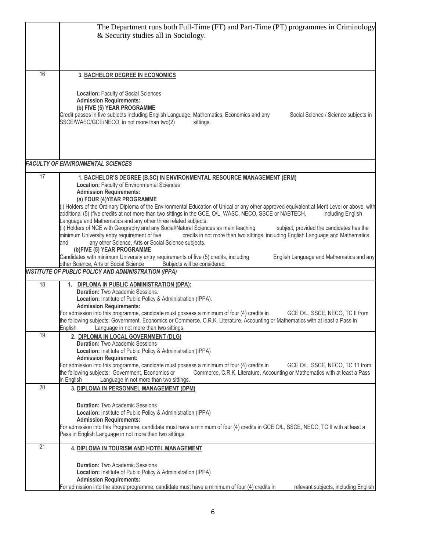|    | The Department runs both Full-Time (FT) and Part-Time (PT) programmes in Criminology<br>& Security studies all in Sociology.                                                                                                                                                                                                                                                                                                                                                                                                                                                                                                                                                                                                                                                                                                                                                                                                    |
|----|---------------------------------------------------------------------------------------------------------------------------------------------------------------------------------------------------------------------------------------------------------------------------------------------------------------------------------------------------------------------------------------------------------------------------------------------------------------------------------------------------------------------------------------------------------------------------------------------------------------------------------------------------------------------------------------------------------------------------------------------------------------------------------------------------------------------------------------------------------------------------------------------------------------------------------|
| 16 | <b>3. BACHELOR DEGREE IN ECONOMICS</b>                                                                                                                                                                                                                                                                                                                                                                                                                                                                                                                                                                                                                                                                                                                                                                                                                                                                                          |
|    | Location: Faculty of Social Sciences<br><b>Admission Requirements:</b><br>(b) FIVE (5) YEAR PROGRAMME<br>Credit passes in five subjects including English Language, Mathematics, Economics and any<br>Social Science / Science subjects in<br>SSCE/WAEC/GCE/NECO, in not more than two(2)<br>sittings.                                                                                                                                                                                                                                                                                                                                                                                                                                                                                                                                                                                                                          |
|    | <b>FACULTY OF ENVIRONMENTAL SCIENCES</b>                                                                                                                                                                                                                                                                                                                                                                                                                                                                                                                                                                                                                                                                                                                                                                                                                                                                                        |
| 17 | 1. BACHELOR'S DEGREE (B.SC) IN ENVIRONMENTAL RESOURCE MANAGEMENT (ERM)<br>Location: Faculty of Environmental Sciences<br><b>Admission Requirements:</b><br>(a) FOUR (4) YEAR PROGRAMME                                                                                                                                                                                                                                                                                                                                                                                                                                                                                                                                                                                                                                                                                                                                          |
|    | (i) Holders of the Ordinary Diploma of the Environmental Education of Unical or any other approved equivalent at Merit Level or above, with<br>additional (5) (five credits at not more than two sittings in the GCE, O/L, WASC, NECO, SSCE or NABTECH,<br>including English<br>Language and Mathematics and any other three related subjects.<br>(ii) Holders of NCE with Geography and any Social/Natural Sciences as main teaching<br>subject, provided the candidates has the<br>credits in not more than two sittings, including English Language and Mathematics<br>minimum University entry requirement of five<br>any other Science, Arts or Social Science subjects.<br>and<br>(b)FIVE (5) YEAR PROGRAMME<br>Candidates with minimum University entry requirements of five (5) credits, including<br>English Language and Mathematics and any<br>Subjects will be considered.<br>other Science, Arts or Social Science |
|    | <b>INSTITUTE OF PUBLIC POLICY AND ADMINISTRATION (IPPA)</b>                                                                                                                                                                                                                                                                                                                                                                                                                                                                                                                                                                                                                                                                                                                                                                                                                                                                     |
| 18 | 1. DIPLOMA IN PUBLIC ADMINISTRATION (DPA):<br>Duration: Two Academic Sessions.<br>Location: Institute of Public Policy & Administration (IPPA).<br><b>Admission Requirements:</b><br>For admission into this programme, candidate must possess a minimum of four (4) credits in<br>GCE O/L, SSCE, NECO, TC II from<br>the following subjects: Government, Economics or Commerce, C.R.K, Literature, Accounting or Mathematics with at least a Pass in<br>Language in not more than two sittings.<br>English                                                                                                                                                                                                                                                                                                                                                                                                                     |
| 19 | 2. DIPLOMA IN LOCAL GOVERNMENT (DLG)<br><b>Duration: Two Academic Sessions</b><br>Location: Institute of Public Policy & Administration (IPPA)<br><b>Admission Requirement:</b><br>For admission into this programme, candidate must possess a minimum of four (4) credits in<br>GCE O/L, SSCE, NECO, TC 11 from<br>Commerce, C.R.K, Literature, Accounting or Mathematics with at least a Pass<br>the following subjects: Government, Economics or<br>Language in not more than two sittings.<br>in English                                                                                                                                                                                                                                                                                                                                                                                                                    |
| 20 | 3. DIPLOMA IN PERSONNEL MANAGEMENT (DPM)                                                                                                                                                                                                                                                                                                                                                                                                                                                                                                                                                                                                                                                                                                                                                                                                                                                                                        |
|    | <b>Duration: Two Academic Sessions</b><br>Location: Institute of Public Policy & Administration (IPPA)<br><b>Admission Requirements:</b><br>For admission into this Programme, candidate must have a minimum of four (4) credits in GCE O/L, SSCE, NECO, TC II with at least a<br>Pass in English Language in not more than two sittings.                                                                                                                                                                                                                                                                                                                                                                                                                                                                                                                                                                                       |
| 21 | 4. DIPLOMA IN TOURISM AND HOTEL MANAGEMENT                                                                                                                                                                                                                                                                                                                                                                                                                                                                                                                                                                                                                                                                                                                                                                                                                                                                                      |
|    | <b>Duration:</b> Two Academic Sessions<br>Location: Institute of Public Policy & Administration (IPPA)<br><b>Admission Requirements:</b><br>For admission into the above programme, candidate must have a minimum of four (4) credits in<br>relevant subjects, including English                                                                                                                                                                                                                                                                                                                                                                                                                                                                                                                                                                                                                                                |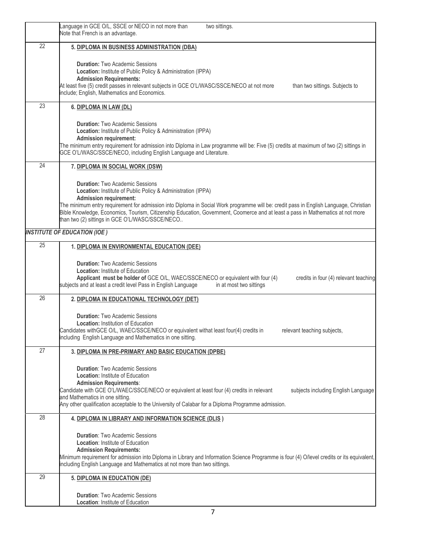|    | Language in GCE O/L, SSCE or NECO in not more than<br>two sittings.<br>Note that French is an advantage.                                                                                                                                                                                                                                                                                                                                                               |
|----|------------------------------------------------------------------------------------------------------------------------------------------------------------------------------------------------------------------------------------------------------------------------------------------------------------------------------------------------------------------------------------------------------------------------------------------------------------------------|
| 22 | 5. DIPLOMA IN BUSINESS ADMINISTRATION (DBA)                                                                                                                                                                                                                                                                                                                                                                                                                            |
|    | <b>Duration: Two Academic Sessions</b><br>Location: Institute of Public Policy & Administration (IPPA)<br><b>Admission Requirements:</b><br>At least five (5) credit passes in relevant subjects in GCE O'L/WASC/SSCE/NECO at not more<br>than two sittings. Subjects to<br>include; English, Mathematics and Economics.                                                                                                                                               |
| 23 | 6. DIPLOMA IN LAW (DL)                                                                                                                                                                                                                                                                                                                                                                                                                                                 |
|    | <b>Duration: Two Academic Sessions</b><br>Location: Institute of Public Policy & Administration (IPPA)<br><b>Admission requirement:</b><br>The minimum entry requirement for admission into Diploma in Law programme will be: Five (5) credits at maximum of two (2) sittings in<br>GCE O'L/WASC/SSCE/NECO, including English Language and Literature.                                                                                                                 |
| 24 | 7. DIPLOMA IN SOCIAL WORK (DSW)                                                                                                                                                                                                                                                                                                                                                                                                                                        |
|    | <b>Duration: Two Academic Sessions</b><br>Location: Institute of Public Policy & Administration (IPPA)<br><b>Admission requirement:</b><br>The minimum entry requirement for admission into Diploma in Social Work programme will be: credit pass in English Language, Christian<br>Bible Knowledge, Economics, Tourism, Citizenship Education, Government, Coomerce and at least a pass in Mathematics at not more<br>than two (2) sittings in GCE O'L/WASC/SSCE/NECO |
|    | <b>INSTITUTE OF EDUCATION (IOE)</b>                                                                                                                                                                                                                                                                                                                                                                                                                                    |
| 25 | 1. DIPLOMA IN ENVIRONMENTAL EDUCATION (DEE)                                                                                                                                                                                                                                                                                                                                                                                                                            |
|    | <b>Duration: Two Academic Sessions</b><br><b>Location: Institute of Education</b><br>Applicant must be holder of GCE O/L, WAEC/SSCE/NECO or equivalent with four (4)<br>credits in four (4) relevant teaching<br>subjects and at least a credit level Pass in English Language<br>in at most two sittings                                                                                                                                                              |
| 26 | 2. DIPLOMA IN EDUCATIONAL TECHNOLOGY (DET)                                                                                                                                                                                                                                                                                                                                                                                                                             |
|    | <b>Duration: Two Academic Sessions</b><br>Location: Institution of Education<br>Candidates withGCE O/L, WAEC/SSCE/NECO or equivalent withat least four(4) credits in<br>relevant teaching subjects,<br>including English Language and Mathematics in one sitting.                                                                                                                                                                                                      |
| 27 | 3. DIPLOMA IN PRE-PRIMARY AND BASIC EDUCATION (DPBE)                                                                                                                                                                                                                                                                                                                                                                                                                   |
|    | <b>Duration:</b> Two Academic Sessions<br><b>Location: Institute of Education</b><br><b>Admission Requirements:</b><br>Candidate with GCE O'L/WAEC/SSCE/NECO or equivalent at least four (4) credits in relevant<br>subjects including English Language<br>and Mathematics in one sitting.<br>Any other qualification acceptable to the University of Calabar for a Diploma Programme admission.                                                                       |
| 28 | 4. DIPLOMA IN LIBRARY AND INFORMATION SCIENCE (DLIS)                                                                                                                                                                                                                                                                                                                                                                                                                   |
|    | <b>Duration: Two Academic Sessions</b><br><b>Location: Institute of Education</b><br><b>Admission Requirements:</b><br>Minimum requirement for admission into Diploma in Library and Information Science Programme is four (4) O/level credits or its equivalent,<br>including English Language and Mathematics at not more than two sittings.                                                                                                                         |
| 29 | 5. DIPLOMA IN EDUCATION (DE)                                                                                                                                                                                                                                                                                                                                                                                                                                           |
|    | <b>Duration: Two Academic Sessions</b><br><b>Location: Institute of Education</b>                                                                                                                                                                                                                                                                                                                                                                                      |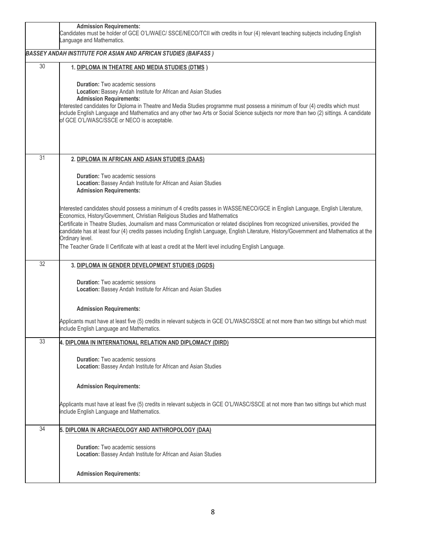|                                                                       | <b>Admission Requirements:</b><br>Candidates must be holder of GCE O'L/WAEC/ SSCE/NECO/TCII with credits in four (4) relevant teaching subjects including English<br>anguage and Mathematics.                                                                                                                                                                                                                                                                                                                                                                                                                                                                 |  |
|-----------------------------------------------------------------------|---------------------------------------------------------------------------------------------------------------------------------------------------------------------------------------------------------------------------------------------------------------------------------------------------------------------------------------------------------------------------------------------------------------------------------------------------------------------------------------------------------------------------------------------------------------------------------------------------------------------------------------------------------------|--|
| <b>BASSEY ANDAH INSTITUTE FOR ASIAN AND AFRICAN STUDIES (BAIFASS)</b> |                                                                                                                                                                                                                                                                                                                                                                                                                                                                                                                                                                                                                                                               |  |
| 30                                                                    | 1. DIPLOMA IN THEATRE AND MEDIA STUDIES (DTMS)<br><b>Duration:</b> Two academic sessions<br>Location: Bassey Andah Institute for African and Asian Studies<br><b>Admission Requirements:</b><br>Interested candidates for Diploma in Theatre and Media Studies programme must possess a minimum of four (4) credits which must<br>include English Language and Mathematics and any other two Arts or Social Science subjects nor more than two (2) sittings. A candidate<br>of GCE O'L/WASC/SSCE or NECO is acceptable.                                                                                                                                       |  |
| 31                                                                    | 2. DIPLOMA IN AFRICAN AND ASIAN STUDIES (DAAS)<br><b>Duration:</b> Two academic sessions<br>Location: Bassey Andah Institute for African and Asian Studies                                                                                                                                                                                                                                                                                                                                                                                                                                                                                                    |  |
|                                                                       | <b>Admission Requirements:</b><br>Interested candidates should possess a minimum of 4 credits passes in WASSE/NECO/GCE in English Language, English Literature,<br>Economics, History/Government, Christian Religious Studies and Mathematics<br>Certificate in Theatre Studies, Journalism and mass Communication or related disciplines from recognized universities, provided the<br>candidate has at least four (4) credits passes including English Language, English Literature, History/Government and Mathematics at the<br>Ordinary level.<br>The Teacher Grade II Certificate with at least a credit at the Merit level including English Language. |  |
| 32                                                                    | 3. DIPLOMA IN GENDER DEVELOPMENT STUDIES (DGDS)<br><b>Duration:</b> Two academic sessions<br>Location: Bassey Andah Institute for African and Asian Studies                                                                                                                                                                                                                                                                                                                                                                                                                                                                                                   |  |
|                                                                       | <b>Admission Requirements:</b><br>Applicants must have at least five (5) credits in relevant subjects in GCE O'L/WASC/SSCE at not more than two sittings but which must<br>include English Language and Mathematics.                                                                                                                                                                                                                                                                                                                                                                                                                                          |  |
| 33                                                                    | 4. DIPLOMA IN INTERNATIONAL RELATION AND DIPLOMACY (DIRD)<br><b>Duration:</b> Two academic sessions<br>Location: Bassey Andah Institute for African and Asian Studies                                                                                                                                                                                                                                                                                                                                                                                                                                                                                         |  |
|                                                                       | <b>Admission Requirements:</b><br>Applicants must have at least five (5) credits in relevant subjects in GCE O'L/WASC/SSCE at not more than two sittings but which must<br>include English Language and Mathematics.                                                                                                                                                                                                                                                                                                                                                                                                                                          |  |
| 34                                                                    | 5. DIPLOMA IN ARCHAEOLOGY AND ANTHROPOLOGY (DAA)                                                                                                                                                                                                                                                                                                                                                                                                                                                                                                                                                                                                              |  |
|                                                                       | <b>Duration:</b> Two academic sessions<br>Location: Bassey Andah Institute for African and Asian Studies                                                                                                                                                                                                                                                                                                                                                                                                                                                                                                                                                      |  |
|                                                                       | <b>Admission Requirements:</b>                                                                                                                                                                                                                                                                                                                                                                                                                                                                                                                                                                                                                                |  |